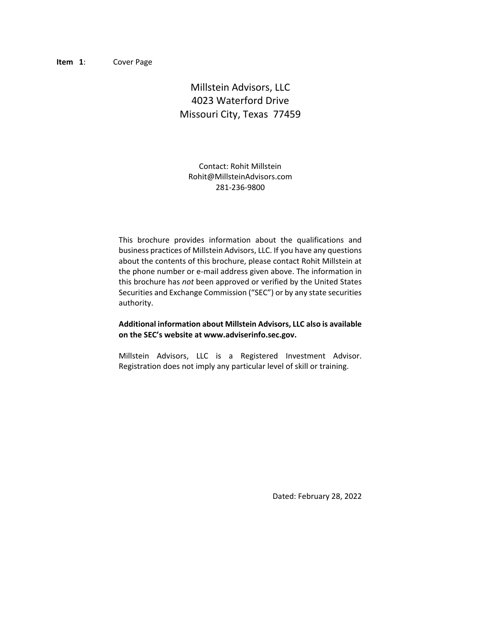# Millstein Advisors, LLC 4023 Waterford Drive Missouri City, Texas 77459

Contact: Rohit Millstein Rohit@MillsteinAdvisors.com 281-236-9800

This brochure provides information about the qualifications and business practices of Millstein Advisors, LLC. If you have any questions about the contents of this brochure, please contact Rohit Millstein at the phone number or e-mail address given above. The information in this brochure has *not* been approved or verified by the United States Securities and Exchange Commission ("SEC") or by any state securities authority.

#### **Additional information about Millstein Advisors, LLC also is available on the SEC's website at www.adviserinfo.sec.gov.**

Millstein Advisors, LLC is a Registered Investment Advisor. Registration does not imply any particular level of skill or training.

Dated: February 28, 2022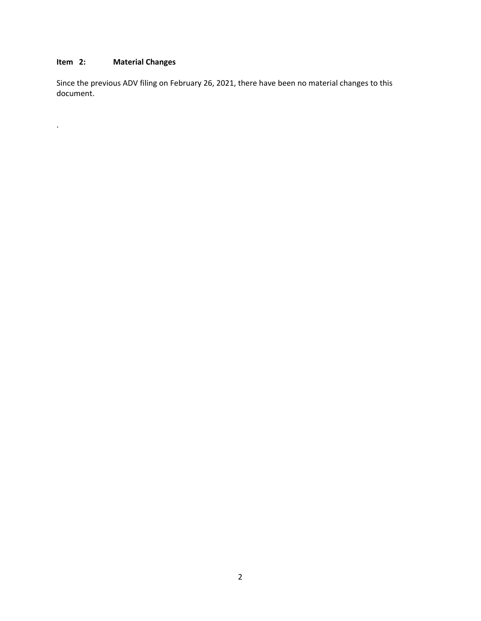# <span id="page-1-0"></span>**Item 2: Material Changes**

<span id="page-1-1"></span>.

Since the previous ADV filing on February 26, 2021, there have been no material changes to this document.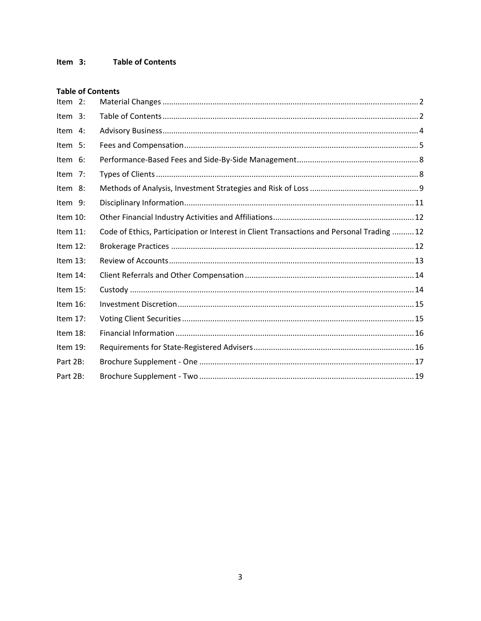### **Table of Contents**

| Item 2:     |                                                                                           |
|-------------|-------------------------------------------------------------------------------------------|
| Item 3:     |                                                                                           |
| Item 4:     |                                                                                           |
| Item 5:     |                                                                                           |
| Item 6:     |                                                                                           |
| Item 7:     |                                                                                           |
| Item 8:     |                                                                                           |
| Item 9:     |                                                                                           |
| Item 10:    |                                                                                           |
| Item 11:    | Code of Ethics, Participation or Interest in Client Transactions and Personal Trading  12 |
| Item 12:    |                                                                                           |
| Item 13:    |                                                                                           |
| Item 14:    |                                                                                           |
| Item $15$ : |                                                                                           |
| Item 16:    |                                                                                           |
| Item 17:    |                                                                                           |
| Item 18:    |                                                                                           |
| Item 19:    |                                                                                           |
| Part 2B:    |                                                                                           |
| Part 2B:    |                                                                                           |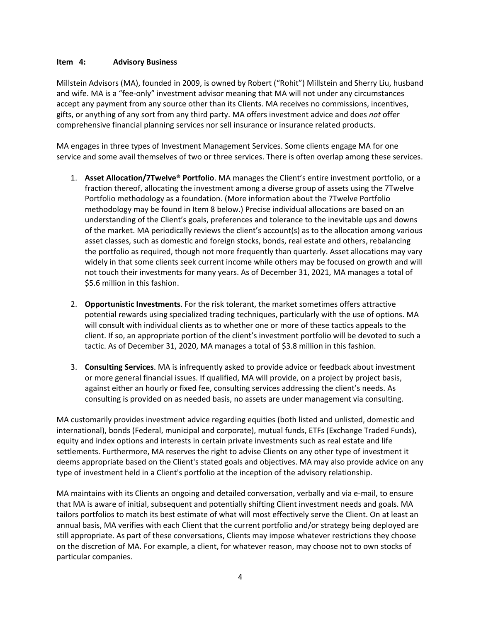### <span id="page-3-0"></span>**Item 4: Advisory Business**

Millstein Advisors (MA), founded in 2009, is owned by Robert ("Rohit") Millstein and Sherry Liu, husband and wife. MA is a "fee-only" investment advisor meaning that MA will not under any circumstances accept any payment from any source other than its Clients. MA receives no commissions, incentives, gifts, or anything of any sort from any third party. MA offers investment advice and does *not* offer comprehensive financial planning services nor sell insurance or insurance related products.

MA engages in three types of Investment Management Services. Some clients engage MA for one service and some avail themselves of two or three services. There is often overlap among these services.

- 1. **Asset Allocation/7Twelve® Portfolio**. MA manages the Client's entire investment portfolio, or a fraction thereof, allocating the investment among a diverse group of assets using the 7Twelve Portfolio methodology as a foundation. (More information about the 7Twelve Portfolio methodology may be found in Item 8 below.) Precise individual allocations are based on an understanding of the Client's goals, preferences and tolerance to the inevitable ups and downs of the market. MA periodically reviews the client's account(s) as to the allocation among various asset classes, such as domestic and foreign stocks, bonds, real estate and others, rebalancing the portfolio as required, though not more frequently than quarterly. Asset allocations may vary widely in that some clients seek current income while others may be focused on growth and will not touch their investments for many years. As of December 31, 2021, MA manages a total of \$5.6 million in this fashion.
- 2. **Opportunistic Investments**. For the risk tolerant, the market sometimes offers attractive potential rewards using specialized trading techniques, particularly with the use of options. MA will consult with individual clients as to whether one or more of these tactics appeals to the client. If so, an appropriate portion of the client's investment portfolio will be devoted to such a tactic. As of December 31, 2020, MA manages a total of \$3.8 million in this fashion.
- 3. **Consulting Services**. MA is infrequently asked to provide advice or feedback about investment or more general financial issues. If qualified, MA will provide, on a project by project basis, against either an hourly or fixed fee, consulting services addressing the client's needs. As consulting is provided on as needed basis, no assets are under management via consulting.

MA customarily provides investment advice regarding equities (both listed and unlisted, domestic and international), bonds (Federal, municipal and corporate), mutual funds, ETFs (Exchange Traded Funds), equity and index options and interests in certain private investments such as real estate and life settlements. Furthermore, MA reserves the right to advise Clients on any other type of investment it deems appropriate based on the Client's stated goals and objectives. MA may also provide advice on any type of investment held in a Client's portfolio at the inception of the advisory relationship.

MA maintains with its Clients an ongoing and detailed conversation, verbally and via e-mail, to ensure that MA is aware of initial, subsequent and potentially shifting Client investment needs and goals. MA tailors portfolios to match its best estimate of what will most effectively serve the Client. On at least an annual basis, MA verifies with each Client that the current portfolio and/or strategy being deployed are still appropriate. As part of these conversations, Clients may impose whatever restrictions they choose on the discretion of MA. For example, a client, for whatever reason, may choose not to own stocks of particular companies.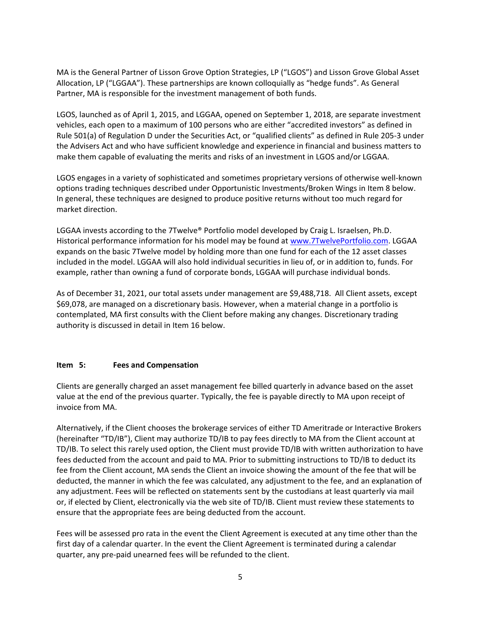MA is the General Partner of Lisson Grove Option Strategies, LP ("LGOS") and Lisson Grove Global Asset Allocation, LP ("LGGAA"). These partnerships are known colloquially as "hedge funds". As General Partner, MA is responsible for the investment management of both funds.

LGOS, launched as of April 1, 2015, and LGGAA, opened on September 1, 2018, are separate investment vehicles, each open to a maximum of 100 persons who are either "accredited investors" as defined in Rule 501(a) of Regulation D under the Securities Act, or "qualified clients" as defined in Rule 205-3 under the Advisers Act and who have sufficient knowledge and experience in financial and business matters to make them capable of evaluating the merits and risks of an investment in LGOS and/or LGGAA.

LGOS engages in a variety of sophisticated and sometimes proprietary versions of otherwise well-known options trading techniques described under Opportunistic Investments/Broken Wings in Item 8 below. In general, these techniques are designed to produce positive returns without too much regard for market direction.

LGGAA invests according to the 7Twelve® Portfolio model developed by Craig L. Israelsen, Ph.D. Historical performance information for his model may be found a[t www.7TwelvePortfolio.com.](http://www.7twelveportfolio.com/) LGGAA expands on the basic 7Twelve model by holding more than one fund for each of the 12 asset classes included in the model. LGGAA will also hold individual securities in lieu of, or in addition to, funds. For example, rather than owning a fund of corporate bonds, LGGAA will purchase individual bonds.

As of December 31, 2021, our total assets under management are \$9,488,718. All Client assets, except \$69,078, are managed on a discretionary basis. However, when a material change in a portfolio is contemplated, MA first consults with the Client before making any changes. Discretionary trading authority is discussed in detail in Item 16 below.

### <span id="page-4-0"></span>**Item 5: Fees and Compensation**

Clients are generally charged an asset management fee billed quarterly in advance based on the asset value at the end of the previous quarter. Typically, the fee is payable directly to MA upon receipt of invoice from MA.

Alternatively, if the Client chooses the brokerage services of either TD Ameritrade or Interactive Brokers (hereinafter "TD/IB"), Client may authorize TD/IB to pay fees directly to MA from the Client account at TD/IB. To select this rarely used option, the Client must provide TD/IB with written authorization to have fees deducted from the account and paid to MA. Prior to submitting instructions to TD/IB to deduct its fee from the Client account, MA sends the Client an invoice showing the amount of the fee that will be deducted, the manner in which the fee was calculated, any adjustment to the fee, and an explanation of any adjustment. Fees will be reflected on statements sent by the custodians at least quarterly via mail or, if elected by Client, electronically via the web site of TD/IB. Client must review these statements to ensure that the appropriate fees are being deducted from the account.

Fees will be assessed pro rata in the event the Client Agreement is executed at any time other than the first day of a calendar quarter. In the event the Client Agreement is terminated during a calendar quarter, any pre-paid unearned fees will be refunded to the client.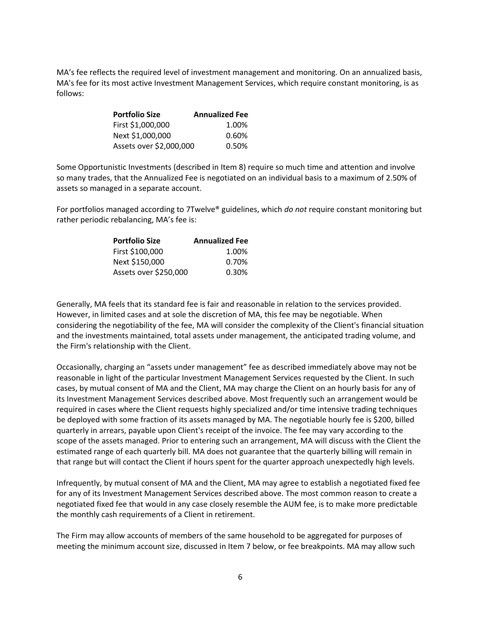MA's fee reflects the required level of investment management and monitoring. On an annualized basis, MA's fee for its most active Investment Management Services, which require constant monitoring, is as follows:

| Portfolio Size          | <b>Annualized Fee</b> |
|-------------------------|-----------------------|
| First \$1,000,000       | 1.00%                 |
| Next \$1,000,000        | 0.60%                 |
| Assets over \$2,000,000 | 0.50%                 |

Some Opportunistic Investments (described in Item 8) require so much time and attention and involve so many trades, that the Annualized Fee is negotiated on an individual basis to a maximum of 2.50% of assets so managed in a separate account.

For portfolios managed according to 7Twelve® guidelines, which *do not* require constant monitoring but rather periodic rebalancing, MA's fee is:

| <b>Portfolio Size</b> | <b>Annualized Fee</b> |
|-----------------------|-----------------------|
| First \$100,000       | 1.00%                 |
| Next \$150,000        | 0.70%                 |
| Assets over \$250,000 | 0.30%                 |

Generally, MA feels that its standard fee is fair and reasonable in relation to the services provided. However, in limited cases and at sole the discretion of MA, this fee may be negotiable. When considering the negotiability of the fee, MA will consider the complexity of the Client's financial situation and the investments maintained, total assets under management, the anticipated trading volume, and the Firm's relationship with the Client.

Occasionally, charging an "assets under management" fee as described immediately above may not be reasonable in light of the particular Investment Management Services requested by the Client. In such cases, by mutual consent of MA and the Client, MA may charge the Client on an hourly basis for any of its Investment Management Services described above. Most frequently such an arrangement would be required in cases where the Client requests highly specialized and/or time intensive trading techniques be deployed with some fraction of its assets managed by MA. The negotiable hourly fee is \$200, billed quarterly in arrears, payable upon Client's receipt of the invoice. The fee may vary according to the scope of the assets managed. Prior to entering such an arrangement, MA will discuss with the Client the estimated range of each quarterly bill. MA does not guarantee that the quarterly billing will remain in that range but will contact the Client if hours spent for the quarter approach unexpectedly high levels.

Infrequently, by mutual consent of MA and the Client, MA may agree to establish a negotiated fixed fee for any of its Investment Management Services described above. The most common reason to create a negotiated fixed fee that would in any case closely resemble the AUM fee, is to make more predictable the monthly cash requirements of a Client in retirement.

The Firm may allow accounts of members of the same household to be aggregated for purposes of meeting the minimum account size, discussed in Item 7 below, or fee breakpoints. MA may allow such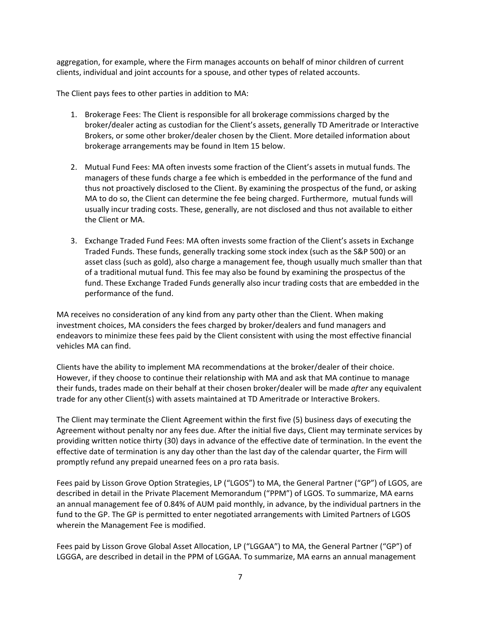aggregation, for example, where the Firm manages accounts on behalf of minor children of current clients, individual and joint accounts for a spouse, and other types of related accounts.

The Client pays fees to other parties in addition to MA:

- 1. Brokerage Fees: The Client is responsible for all brokerage commissions charged by the broker/dealer acting as custodian for the Client's assets, generally TD Ameritrade or Interactive Brokers, or some other broker/dealer chosen by the Client. More detailed information about brokerage arrangements may be found in Item 15 below.
- 2. Mutual Fund Fees: MA often invests some fraction of the Client's assets in mutual funds. The managers of these funds charge a fee which is embedded in the performance of the fund and thus not proactively disclosed to the Client. By examining the prospectus of the fund, or asking MA to do so, the Client can determine the fee being charged. Furthermore, mutual funds will usually incur trading costs. These, generally, are not disclosed and thus not available to either the Client or MA.
- 3. Exchange Traded Fund Fees: MA often invests some fraction of the Client's assets in Exchange Traded Funds. These funds, generally tracking some stock index (such as the S&P 500) or an asset class (such as gold), also charge a management fee, though usually much smaller than that of a traditional mutual fund. This fee may also be found by examining the prospectus of the fund. These Exchange Traded Funds generally also incur trading costs that are embedded in the performance of the fund.

MA receives no consideration of any kind from any party other than the Client. When making investment choices, MA considers the fees charged by broker/dealers and fund managers and endeavors to minimize these fees paid by the Client consistent with using the most effective financial vehicles MA can find.

Clients have the ability to implement MA recommendations at the broker/dealer of their choice. However, if they choose to continue their relationship with MA and ask that MA continue to manage their funds, trades made on their behalf at their chosen broker/dealer will be made *after* any equivalent trade for any other Client(s) with assets maintained at TD Ameritrade or Interactive Brokers.

The Client may terminate the Client Agreement within the first five (5) business days of executing the Agreement without penalty nor any fees due. After the initial five days, Client may terminate services by providing written notice thirty (30) days in advance of the effective date of termination. In the event the effective date of termination is any day other than the last day of the calendar quarter, the Firm will promptly refund any prepaid unearned fees on a pro rata basis.

Fees paid by Lisson Grove Option Strategies, LP ("LGOS") to MA, the General Partner ("GP") of LGOS, are described in detail in the Private Placement Memorandum ("PPM") of LGOS. To summarize, MA earns an annual management fee of 0.84% of AUM paid monthly, in advance, by the individual partners in the fund to the GP. The GP is permitted to enter negotiated arrangements with Limited Partners of LGOS wherein the Management Fee is modified.

Fees paid by Lisson Grove Global Asset Allocation, LP ("LGGAA") to MA, the General Partner ("GP") of LGGGA, are described in detail in the PPM of LGGAA. To summarize, MA earns an annual management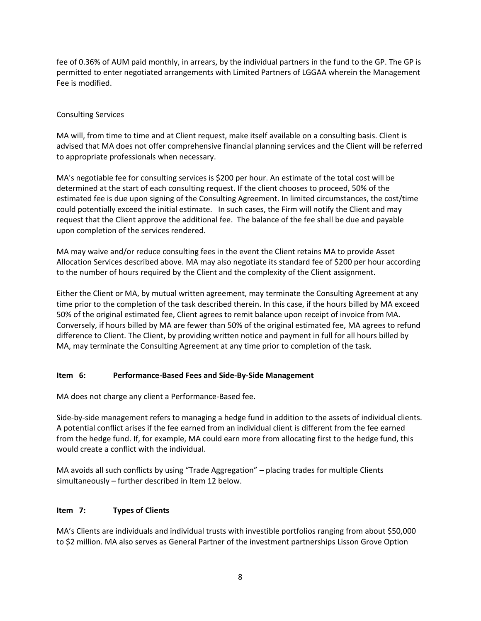fee of 0.36% of AUM paid monthly, in arrears, by the individual partners in the fund to the GP. The GP is permitted to enter negotiated arrangements with Limited Partners of LGGAA wherein the Management Fee is modified.

### Consulting Services

MA will, from time to time and at Client request, make itself available on a consulting basis. Client is advised that MA does not offer comprehensive financial planning services and the Client will be referred to appropriate professionals when necessary.

MA's negotiable fee for consulting services is \$200 per hour. An estimate of the total cost will be determined at the start of each consulting request. If the client chooses to proceed, 50% of the estimated fee is due upon signing of the Consulting Agreement. In limited circumstances, the cost/time could potentially exceed the initial estimate. In such cases, the Firm will notify the Client and may request that the Client approve the additional fee. The balance of the fee shall be due and payable upon completion of the services rendered.

MA may waive and/or reduce consulting fees in the event the Client retains MA to provide Asset Allocation Services described above. MA may also negotiate its standard fee of \$200 per hour according to the number of hours required by the Client and the complexity of the Client assignment.

Either the Client or MA, by mutual written agreement, may terminate the Consulting Agreement at any time prior to the completion of the task described therein. In this case, if the hours billed by MA exceed 50% of the original estimated fee, Client agrees to remit balance upon receipt of invoice from MA. Conversely, if hours billed by MA are fewer than 50% of the original estimated fee, MA agrees to refund difference to Client. The Client, by providing written notice and payment in full for all hours billed by MA, may terminate the Consulting Agreement at any time prior to completion of the task.

### <span id="page-7-0"></span>**Item 6: Performance-Based Fees and Side-By-Side Management**

MA does not charge any client a Performance-Based fee.

Side-by-side management refers to managing a hedge fund in addition to the assets of individual clients. A potential conflict arises if the fee earned from an individual client is different from the fee earned from the hedge fund. If, for example, MA could earn more from allocating first to the hedge fund, this would create a conflict with the individual.

MA avoids all such conflicts by using "Trade Aggregation" – placing trades for multiple Clients simultaneously – further described in Item 12 below.

### <span id="page-7-1"></span>**Item 7: Types of Clients**

MA's Clients are individuals and individual trusts with investible portfolios ranging from about \$50,000 to \$2 million. MA also serves as General Partner of the investment partnerships Lisson Grove Option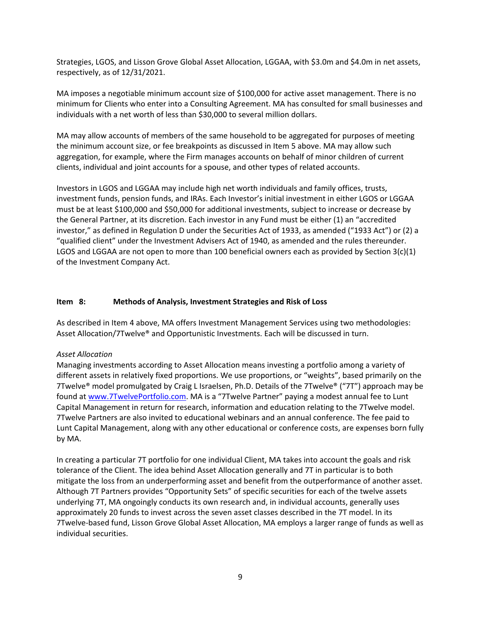Strategies, LGOS, and Lisson Grove Global Asset Allocation, LGGAA, with \$3.0m and \$4.0m in net assets, respectively, as of 12/31/2021.

MA imposes a negotiable minimum account size of \$100,000 for active asset management. There is no minimum for Clients who enter into a Consulting Agreement. MA has consulted for small businesses and individuals with a net worth of less than \$30,000 to several million dollars.

MA may allow accounts of members of the same household to be aggregated for purposes of meeting the minimum account size, or fee breakpoints as discussed in Item 5 above. MA may allow such aggregation, for example, where the Firm manages accounts on behalf of minor children of current clients, individual and joint accounts for a spouse, and other types of related accounts.

Investors in LGOS and LGGAA may include high net worth individuals and family offices, trusts, investment funds, pension funds, and IRAs. Each Investor's initial investment in either LGOS or LGGAA must be at least \$100,000 and \$50,000 for additional investments, subject to increase or decrease by the General Partner, at its discretion. Each investor in any Fund must be either (1) an "accredited investor," as defined in Regulation D under the Securities Act of 1933, as amended ("1933 Act") or (2) a "qualified client" under the Investment Advisers Act of 1940, as amended and the rules thereunder. LGOS and LGGAA are not open to more than 100 beneficial owners each as provided by Section 3(c)(1) of the Investment Company Act.

#### <span id="page-8-0"></span>**Item 8: Methods of Analysis, Investment Strategies and Risk of Loss**

As described in Item 4 above, MA offers Investment Management Services using two methodologies: Asset Allocation/7Twelve® and Opportunistic Investments. Each will be discussed in turn.

### *Asset Allocation*

Managing investments according to Asset Allocation means investing a portfolio among a variety of different assets in relatively fixed proportions. We use proportions, or "weights", based primarily on the 7Twelve<sup>®</sup> model promulgated by Craig L Israelsen, Ph.D. Details of the 7Twelve<sup>®</sup> ("7T") approach may be found at [www.7TwelvePortfolio.com](http://www.7twelveportfolio.com/). MA is a "7Twelve Partner" paying a modest annual fee to Lunt Capital Management in return for research, information and education relating to the 7Twelve model. 7Twelve Partners are also invited to educational webinars and an annual conference. The fee paid to Lunt Capital Management, along with any other educational or conference costs, are expenses born fully by MA.

In creating a particular 7T portfolio for one individual Client, MA takes into account the goals and risk tolerance of the Client. The idea behind Asset Allocation generally and 7T in particular is to both mitigate the loss from an underperforming asset and benefit from the outperformance of another asset. Although 7T Partners provides "Opportunity Sets" of specific securities for each of the twelve assets underlying 7T, MA ongoingly conducts its own research and, in individual accounts, generally uses approximately 20 funds to invest across the seven asset classes described in the 7T model. In its 7Twelve-based fund, Lisson Grove Global Asset Allocation, MA employs a larger range of funds as well as individual securities.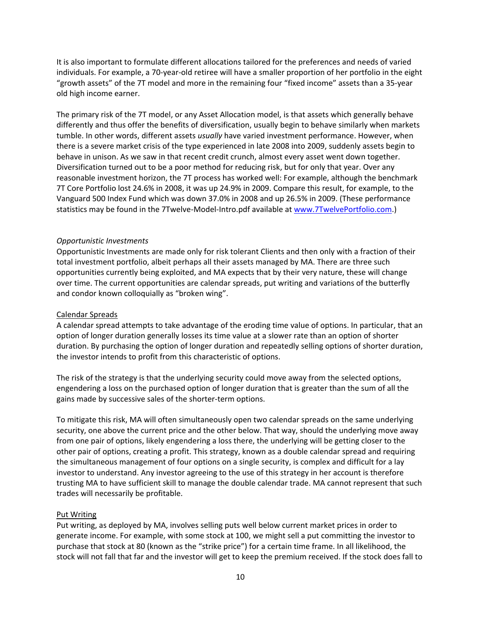It is also important to formulate different allocations tailored for the preferences and needs of varied individuals. For example, a 70-year-old retiree will have a smaller proportion of her portfolio in the eight "growth assets" of the 7T model and more in the remaining four "fixed income" assets than a 35-year old high income earner.

The primary risk of the 7T model, or any Asset Allocation model, is that assets which generally behave differently and thus offer the benefits of diversification, usually begin to behave similarly when markets tumble. In other words, different assets *usually* have varied investment performance. However, when there is a severe market crisis of the type experienced in late 2008 into 2009, suddenly assets begin to behave in unison. As we saw in that recent credit crunch, almost every asset went down together. Diversification turned out to be a poor method for reducing risk, but for only that year. Over any reasonable investment horizon, the 7T process has worked well: For example, although the benchmark 7T Core Portfolio lost 24.6% in 2008, it was up 24.9% in 2009. Compare this result, for example, to the Vanguard 500 Index Fund which was down 37.0% in 2008 and up 26.5% in 2009. (These performance statistics may be found in the 7Twelve-Model-Intro.pdf available at [www.7TwelvePortfolio.com.](http://www.7twelveportfolio.com/))

#### *Opportunistic Investments*

Opportunistic Investments are made only for risk tolerant Clients and then only with a fraction of their total investment portfolio, albeit perhaps all their assets managed by MA. There are three such opportunities currently being exploited, and MA expects that by their very nature, these will change over time. The current opportunities are calendar spreads, put writing and variations of the butterfly and condor known colloquially as "broken wing".

#### Calendar Spreads

A calendar spread attempts to take advantage of the eroding time value of options. In particular, that an option of longer duration generally losses its time value at a slower rate than an option of shorter duration. By purchasing the option of longer duration and repeatedly selling options of shorter duration, the investor intends to profit from this characteristic of options.

The risk of the strategy is that the underlying security could move away from the selected options, engendering a loss on the purchased option of longer duration that is greater than the sum of all the gains made by successive sales of the shorter-term options.

To mitigate this risk, MA will often simultaneously open two calendar spreads on the same underlying security, one above the current price and the other below. That way, should the underlying move away from one pair of options, likely engendering a loss there, the underlying will be getting closer to the other pair of options, creating a profit. This strategy, known as a double calendar spread and requiring the simultaneous management of four options on a single security, is complex and difficult for a lay investor to understand. Any investor agreeing to the use of this strategy in her account is therefore trusting MA to have sufficient skill to manage the double calendar trade. MA cannot represent that such trades will necessarily be profitable.

#### Put Writing

Put writing, as deployed by MA, involves selling puts well below current market prices in order to generate income. For example, with some stock at 100, we might sell a put committing the investor to purchase that stock at 80 (known as the "strike price") for a certain time frame. In all likelihood, the stock will not fall that far and the investor will get to keep the premium received. If the stock does fall to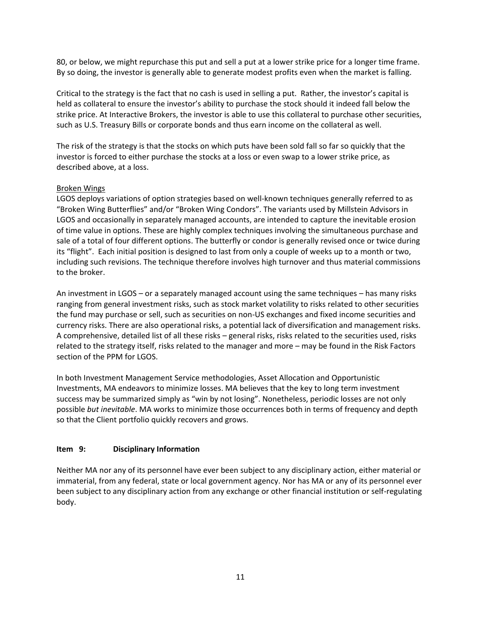80, or below, we might repurchase this put and sell a put at a lower strike price for a longer time frame. By so doing, the investor is generally able to generate modest profits even when the market is falling.

Critical to the strategy is the fact that no cash is used in selling a put. Rather, the investor's capital is held as collateral to ensure the investor's ability to purchase the stock should it indeed fall below the strike price. At Interactive Brokers, the investor is able to use this collateral to purchase other securities, such as U.S. Treasury Bills or corporate bonds and thus earn income on the collateral as well.

The risk of the strategy is that the stocks on which puts have been sold fall so far so quickly that the investor is forced to either purchase the stocks at a loss or even swap to a lower strike price, as described above, at a loss.

### Broken Wings

LGOS deploys variations of option strategies based on well-known techniques generally referred to as "Broken Wing Butterflies" and/or "Broken Wing Condors". The variants used by Millstein Advisors in LGOS and occasionally in separately managed accounts, are intended to capture the inevitable erosion of time value in options. These are highly complex techniques involving the simultaneous purchase and sale of a total of four different options. The butterfly or condor is generally revised once or twice during its "flight". Each initial position is designed to last from only a couple of weeks up to a month or two, including such revisions. The technique therefore involves high turnover and thus material commissions to the broker.

An investment in LGOS – or a separately managed account using the same techniques – has many risks ranging from general investment risks, such as stock market volatility to risks related to other securities the fund may purchase or sell, such as securities on non-US exchanges and fixed income securities and currency risks. There are also operational risks, a potential lack of diversification and management risks. A comprehensive, detailed list of all these risks – general risks, risks related to the securities used, risks related to the strategy itself, risks related to the manager and more – may be found in the Risk Factors section of the PPM for LGOS.

In both Investment Management Service methodologies, Asset Allocation and Opportunistic Investments, MA endeavors to minimize losses. MA believes that the key to long term investment success may be summarized simply as "win by not losing". Nonetheless, periodic losses are not only possible *but inevitable*. MA works to minimize those occurrences both in terms of frequency and depth so that the Client portfolio quickly recovers and grows.

### <span id="page-10-0"></span>**Item 9: Disciplinary Information**

<span id="page-10-1"></span>Neither MA nor any of its personnel have ever been subject to any disciplinary action, either material or immaterial, from any federal, state or local government agency. Nor has MA or any of its personnel ever been subject to any disciplinary action from any exchange or other financial institution or self-regulating body.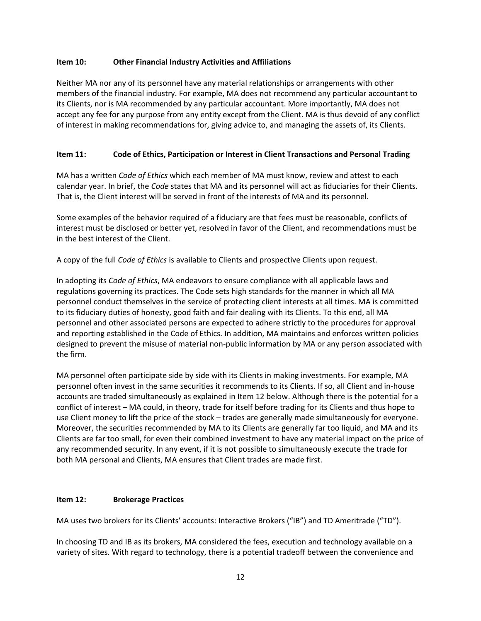### **Item 10: Other Financial Industry Activities and Affiliations**

Neither MA nor any of its personnel have any material relationships or arrangements with other members of the financial industry. For example, MA does not recommend any particular accountant to its Clients, nor is MA recommended by any particular accountant. More importantly, MA does not accept any fee for any purpose from any entity except from the Client. MA is thus devoid of any conflict of interest in making recommendations for, giving advice to, and managing the assets of, its Clients.

### <span id="page-11-0"></span>**Item 11: Code of Ethics, Participation or Interest in Client Transactions and Personal Trading**

MA has a written *Code of Ethics* which each member of MA must know, review and attest to each calendar year. In brief, the *Code* states that MA and its personnel will act as fiduciaries for their Clients. That is, the Client interest will be served in front of the interests of MA and its personnel.

Some examples of the behavior required of a fiduciary are that fees must be reasonable, conflicts of interest must be disclosed or better yet, resolved in favor of the Client, and recommendations must be in the best interest of the Client.

A copy of the full *Code of Ethics* is available to Clients and prospective Clients upon request.

In adopting its *Code of Ethics*, MA endeavors to ensure compliance with all applicable laws and regulations governing its practices. The Code sets high standards for the manner in which all MA personnel conduct themselves in the service of protecting client interests at all times. MA is committed to its fiduciary duties of honesty, good faith and fair dealing with its Clients. To this end, all MA personnel and other associated persons are expected to adhere strictly to the procedures for approval and reporting established in the Code of Ethics. In addition, MA maintains and enforces written policies designed to prevent the misuse of material non-public information by MA or any person associated with the firm.

MA personnel often participate side by side with its Clients in making investments. For example, MA personnel often invest in the same securities it recommends to its Clients. If so, all Client and in-house accounts are traded simultaneously as explained in Item 12 below. Although there is the potential for a conflict of interest – MA could, in theory, trade for itself before trading for its Clients and thus hope to use Client money to lift the price of the stock – trades are generally made simultaneously for everyone. Moreover, the securities recommended by MA to its Clients are generally far too liquid, and MA and its Clients are far too small, for even their combined investment to have any material impact on the price of any recommended security. In any event, if it is not possible to simultaneously execute the trade for both MA personal and Clients, MA ensures that Client trades are made first.

### <span id="page-11-1"></span>**Item 12: Brokerage Practices**

MA uses two brokers for its Clients' accounts: Interactive Brokers ("IB") and TD Ameritrade ("TD").

In choosing TD and IB as its brokers, MA considered the fees, execution and technology available on a variety of sites. With regard to technology, there is a potential tradeoff between the convenience and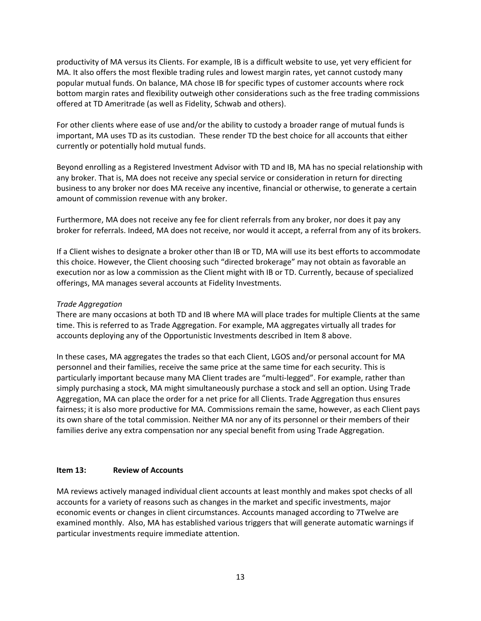productivity of MA versus its Clients. For example, IB is a difficult website to use, yet very efficient for MA. It also offers the most flexible trading rules and lowest margin rates, yet cannot custody many popular mutual funds. On balance, MA chose IB for specific types of customer accounts where rock bottom margin rates and flexibility outweigh other considerations such as the free trading commissions offered at TD Ameritrade (as well as Fidelity, Schwab and others).

For other clients where ease of use and/or the ability to custody a broader range of mutual funds is important, MA uses TD as its custodian. These render TD the best choice for all accounts that either currently or potentially hold mutual funds.

Beyond enrolling as a Registered Investment Advisor with TD and IB, MA has no special relationship with any broker. That is, MA does not receive any special service or consideration in return for directing business to any broker nor does MA receive any incentive, financial or otherwise, to generate a certain amount of commission revenue with any broker.

Furthermore, MA does not receive any fee for client referrals from any broker, nor does it pay any broker for referrals. Indeed, MA does not receive, nor would it accept, a referral from any of its brokers.

If a Client wishes to designate a broker other than IB or TD, MA will use its best efforts to accommodate this choice. However, the Client choosing such "directed brokerage" may not obtain as favorable an execution nor as low a commission as the Client might with IB or TD. Currently, because of specialized offerings, MA manages several accounts at Fidelity Investments.

### *Trade Aggregation*

There are many occasions at both TD and IB where MA will place trades for multiple Clients at the same time. This is referred to as Trade Aggregation. For example, MA aggregates virtually all trades for accounts deploying any of the Opportunistic Investments described in Item 8 above.

In these cases, MA aggregates the trades so that each Client, LGOS and/or personal account for MA personnel and their families, receive the same price at the same time for each security. This is particularly important because many MA Client trades are "multi-legged". For example, rather than simply purchasing a stock, MA might simultaneously purchase a stock and sell an option. Using Trade Aggregation, MA can place the order for a net price for all Clients. Trade Aggregation thus ensures fairness; it is also more productive for MA. Commissions remain the same, however, as each Client pays its own share of the total commission. Neither MA nor any of its personnel or their members of their families derive any extra compensation nor any special benefit from using Trade Aggregation.

### <span id="page-12-0"></span>**Item 13: Review of Accounts**

MA reviews actively managed individual client accounts at least monthly and makes spot checks of all accounts for a variety of reasons such as changes in the market and specific investments, major economic events or changes in client circumstances. Accounts managed according to 7Twelve are examined monthly. Also, MA has established various triggers that will generate automatic warnings if particular investments require immediate attention.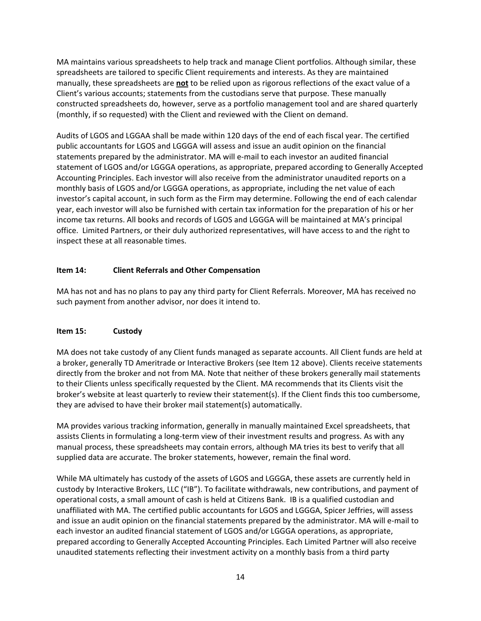MA maintains various spreadsheets to help track and manage Client portfolios. Although similar, these spreadsheets are tailored to specific Client requirements and interests. As they are maintained manually, these spreadsheets are **not** to be relied upon as rigorous reflections of the exact value of a Client's various accounts; statements from the custodians serve that purpose. These manually constructed spreadsheets do, however, serve as a portfolio management tool and are shared quarterly (monthly, if so requested) with the Client and reviewed with the Client on demand.

Audits of LGOS and LGGAA shall be made within 120 days of the end of each fiscal year. The certified public accountants for LGOS and LGGGA will assess and issue an audit opinion on the financial statements prepared by the administrator. MA will e-mail to each investor an audited financial statement of LGOS and/or LGGGA operations, as appropriate, prepared according to Generally Accepted Accounting Principles. Each investor will also receive from the administrator unaudited reports on a monthly basis of LGOS and/or LGGGA operations, as appropriate, including the net value of each investor's capital account, in such form as the Firm may determine. Following the end of each calendar year, each investor will also be furnished with certain tax information for the preparation of his or her income tax returns. All books and records of LGOS and LGGGA will be maintained at MA's principal office. Limited Partners, or their duly authorized representatives, will have access to and the right to inspect these at all reasonable times.

## <span id="page-13-0"></span>**Item 14: Client Referrals and Other Compensation**

MA has not and has no plans to pay any third party for Client Referrals. Moreover, MA has received no such payment from another advisor, nor does it intend to.

## <span id="page-13-1"></span>**Item 15: Custody**

MA does not take custody of any Client funds managed as separate accounts. All Client funds are held at a broker, generally TD Ameritrade or Interactive Brokers (see Item 12 above). Clients receive statements directly from the broker and not from MA. Note that neither of these brokers generally mail statements to their Clients unless specifically requested by the Client. MA recommends that its Clients visit the broker's website at least quarterly to review their statement(s). If the Client finds this too cumbersome, they are advised to have their broker mail statement(s) automatically.

MA provides various tracking information, generally in manually maintained Excel spreadsheets, that assists Clients in formulating a long-term view of their investment results and progress. As with any manual process, these spreadsheets may contain errors, although MA tries its best to verify that all supplied data are accurate. The broker statements, however, remain the final word.

While MA ultimately has custody of the assets of LGOS and LGGGA, these assets are currently held in custody by Interactive Brokers, LLC ("IB"). To facilitate withdrawals, new contributions, and payment of operational costs, a small amount of cash is held at Citizens Bank. IB is a qualified custodian and unaffiliated with MA. The certified public accountants for LGOS and LGGGA, Spicer Jeffries, will assess and issue an audit opinion on the financial statements prepared by the administrator. MA will e-mail to each investor an audited financial statement of LGOS and/or LGGGA operations, as appropriate, prepared according to Generally Accepted Accounting Principles. Each Limited Partner will also receive unaudited statements reflecting their investment activity on a monthly basis from a third party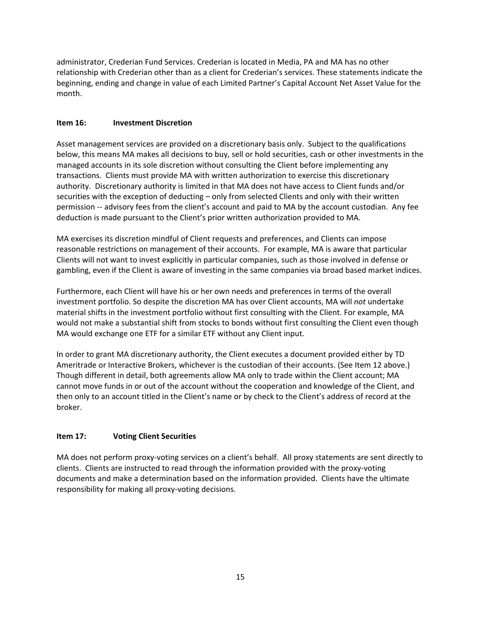administrator, Crederian Fund Services. Crederian is located in Media, PA and MA has no other relationship with Crederian other than as a client for Crederian's services. These statements indicate the beginning, ending and change in value of each Limited Partner's Capital Account Net Asset Value for the month.

# <span id="page-14-0"></span>**Item 16: Investment Discretion**

Asset management services are provided on a discretionary basis only. Subject to the qualifications below, this means MA makes all decisions to buy, sell or hold securities, cash or other investments in the managed accounts in its sole discretion without consulting the Client before implementing any transactions. Clients must provide MA with written authorization to exercise this discretionary authority. Discretionary authority is limited in that MA does not have access to Client funds and/or securities with the exception of deducting – only from selected Clients and only with their written permission -- advisory fees from the client's account and paid to MA by the account custodian. Any fee deduction is made pursuant to the Client's prior written authorization provided to MA.

MA exercises its discretion mindful of Client requests and preferences, and Clients can impose reasonable restrictions on management of their accounts. For example, MA is aware that particular Clients will not want to invest explicitly in particular companies, such as those involved in defense or gambling, even if the Client is aware of investing in the same companies via broad based market indices.

Furthermore, each Client will have his or her own needs and preferences in terms of the overall investment portfolio. So despite the discretion MA has over Client accounts, MA will *not* undertake material shifts in the investment portfolio without first consulting with the Client. For example, MA would not make a substantial shift from stocks to bonds without first consulting the Client even though MA would exchange one ETF for a similar ETF without any Client input.

In order to grant MA discretionary authority, the Client executes a document provided either by TD Ameritrade or Interactive Brokers, whichever is the custodian of their accounts. (See Item 12 above.) Though different in detail, both agreements allow MA only to trade within the Client account; MA cannot move funds in or out of the account without the cooperation and knowledge of the Client, and then only to an account titled in the Client's name or by check to the Client's address of record at the broker.

## <span id="page-14-1"></span>**Item 17: Voting Client Securities**

<span id="page-14-2"></span>MA does not perform proxy-voting services on a client's behalf. All proxy statements are sent directly to clients. Clients are instructed to read through the information provided with the proxy-voting documents and make a determination based on the information provided. Clients have the ultimate responsibility for making all proxy-voting decisions.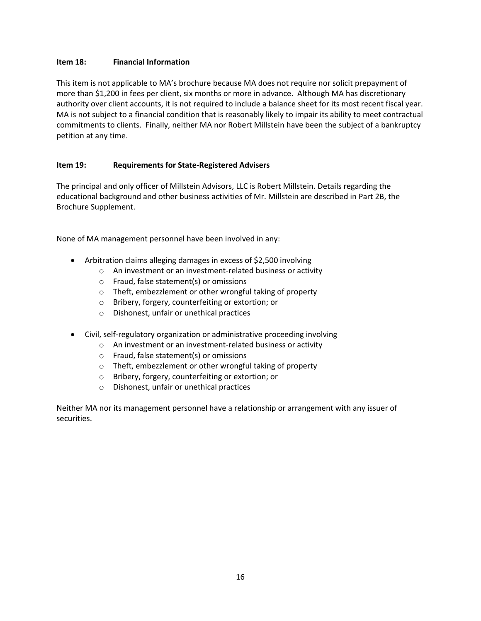### **Item 18: Financial Information**

This item is not applicable to MA's brochure because MA does not require nor solicit prepayment of more than \$1,200 in fees per client, six months or more in advance. Although MA has discretionary authority over client accounts, it is not required to include a balance sheet for its most recent fiscal year. MA is not subject to a financial condition that is reasonably likely to impair its ability to meet contractual commitments to clients. Finally, neither MA nor Robert Millstein have been the subject of a bankruptcy petition at any time.

### <span id="page-15-0"></span>**Item 19: Requirements for State-Registered Advisers**

The principal and only officer of Millstein Advisors, LLC is Robert Millstein. Details regarding the educational background and other business activities of Mr. Millstein are described in Part 2B, the Brochure Supplement.

None of MA management personnel have been involved in any:

- Arbitration claims alleging damages in excess of \$2,500 involving
	- o An investment or an investment-related business or activity
	- o Fraud, false statement(s) or omissions
	- o Theft, embezzlement or other wrongful taking of property
	- o Bribery, forgery, counterfeiting or extortion; or
	- o Dishonest, unfair or unethical practices
- Civil, self-regulatory organization or administrative proceeding involving
	- o An investment or an investment-related business or activity
	- o Fraud, false statement(s) or omissions
	- o Theft, embezzlement or other wrongful taking of property
	- o Bribery, forgery, counterfeiting or extortion; or
	- o Dishonest, unfair or unethical practices

Neither MA nor its management personnel have a relationship or arrangement with any issuer of securities.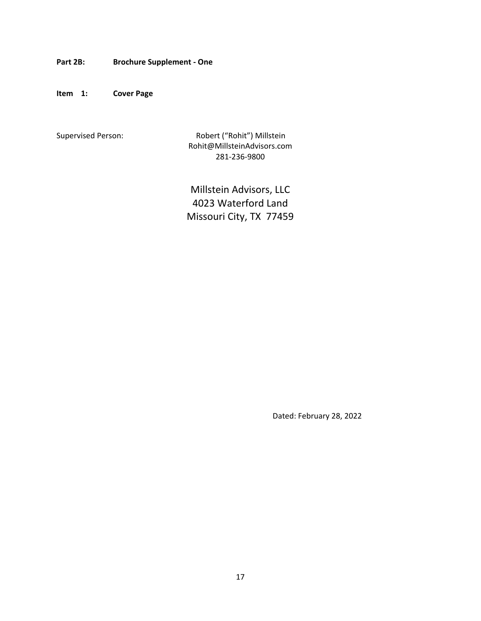<span id="page-16-0"></span>**Part 2B: Brochure Supplement - One**

**Item 1: Cover Page**

Supervised Person: Robert ("Rohit") Millstein Rohit@MillsteinAdvisors.com 281-236-9800

> Millstein Advisors, LLC 4023 Waterford Land Missouri City, TX 77459

> > Dated: February 28, 2022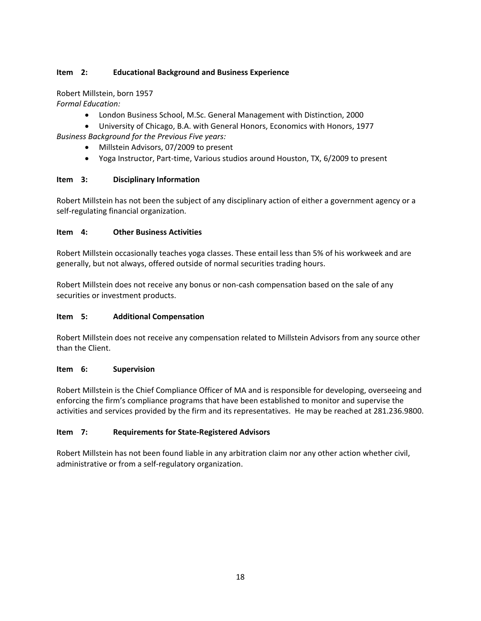# **Item 2: Educational Background and Business Experience**

Robert Millstein, born 1957 *Formal Education:*

- London Business School, M.Sc. General Management with Distinction, 2000
- University of Chicago, B.A. with General Honors, Economics with Honors, 1977 *Business Background for the Previous Five years:*
	- - Millstein Advisors, 07/2009 to present
		- Yoga Instructor, Part-time, Various studios around Houston, TX, 6/2009 to present

### **Item 3: Disciplinary Information**

Robert Millstein has not been the subject of any disciplinary action of either a government agency or a self-regulating financial organization.

### **Item 4: Other Business Activities**

Robert Millstein occasionally teaches yoga classes. These entail less than 5% of his workweek and are generally, but not always, offered outside of normal securities trading hours.

Robert Millstein does not receive any bonus or non-cash compensation based on the sale of any securities or investment products.

## **Item 5: Additional Compensation**

Robert Millstein does not receive any compensation related to Millstein Advisors from any source other than the Client.

### **Item 6: Supervision**

Robert Millstein is the Chief Compliance Officer of MA and is responsible for developing, overseeing and enforcing the firm's compliance programs that have been established to monitor and supervise the activities and services provided by the firm and its representatives. He may be reached at 281.236.9800.

## **Item 7: Requirements for State-Registered Advisors**

Robert Millstein has not been found liable in any arbitration claim nor any other action whether civil, administrative or from a self-regulatory organization.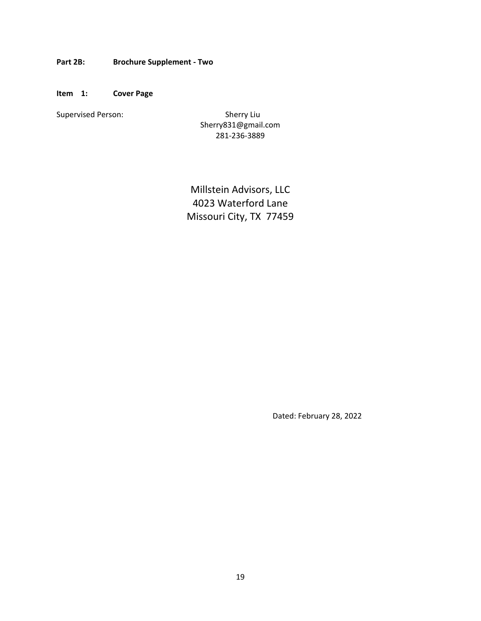<span id="page-18-0"></span>**Part 2B: Brochure Supplement - Two**

**Item 1: Cover Page**

Supervised Person: Supervised Person: Sherry Liu

Sherry831@gmail.com 281-236-3889

Millstein Advisors, LLC 4023 Waterford Lane Missouri City, TX 77459

Dated: February 28, 2022